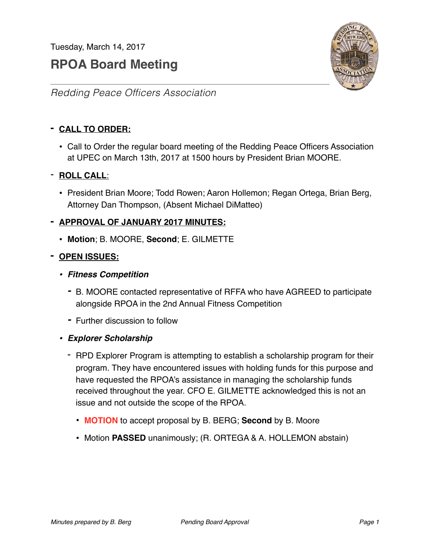Tuesday, March 14, 2017

# **RPOA Board Meeting**



# *Redding Peace Officers Association*

# **- CALL TO ORDER:**

• Call to Order the regular board meeting of the Redding Peace Officers Association at UPEC on March 13th, 2017 at 1500 hours by President Brian MOORE.

# - **ROLL CALL**:

• President Brian Moore; Todd Rowen; Aaron Hollemon; Regan Ortega, Brian Berg, Attorney Dan Thompson, (Absent Michael DiMatteo)

# **- APPROVAL OF JANUARY 2017 MINUTES:**

• **Motion**; B. MOORE, **Second**; E. GILMETTE

# **- OPEN ISSUES:**

- *• Fitness Competition*
	- *-* B. MOORE contacted representative of RFFA who have AGREED to participate alongside RPOA in the 2nd Annual Fitness Competition
	- *-* Further discussion to follow
- *• Explorer Scholarship*
	- RPD Explorer Program is attempting to establish a scholarship program for their program. They have encountered issues with holding funds for this purpose and have requested the RPOA's assistance in managing the scholarship funds received throughout the year. CFO E. GILMETTE acknowledged this is not an issue and not outside the scope of the RPOA.
		- **MOTION** to accept proposal by B. BERG; **Second** by B. Moore
		- Motion **PASSED** unanimously; (R. ORTEGA & A. HOLLEMON abstain)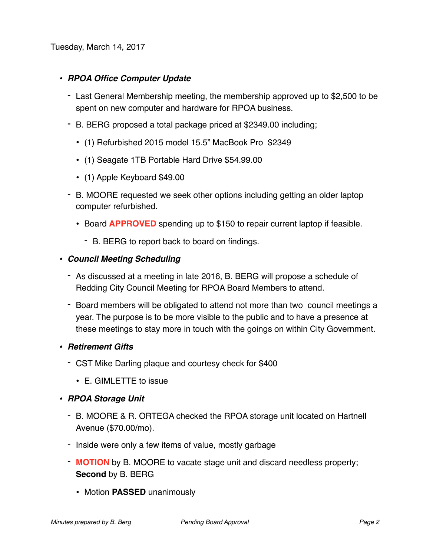Tuesday, March 14, 2017

#### *• RPOA Office Computer Update*

- Last General Membership meeting, the membership approved up to \$2,500 to be spent on new computer and hardware for RPOA business.
- B. BERG proposed a total package priced at \$2349.00 including;
	- (1) Refurbished 2015 model 15.5" MacBook Pro \$2349
	- (1) Seagate 1TB Portable Hard Drive \$54.99.00
	- (1) Apple Keyboard \$49.00
- B. MOORE requested we seek other options including getting an older laptop computer refurbished.
	- Board **APPROVED** spending up to \$150 to repair current laptop if feasible.
		- B. BERG to report back to board on findings.

#### *• Council Meeting Scheduling*

- As discussed at a meeting in late 2016, B. BERG will propose a schedule of Redding City Council Meeting for RPOA Board Members to attend.
- Board members will be obligated to attend not more than two council meetings a year. The purpose is to be more visible to the public and to have a presence at these meetings to stay more in touch with the goings on within City Government.
- *• Retirement Gifts*
	- CST Mike Darling plaque and courtesy check for \$400
		- E. GIMLETTE to issue
- *• RPOA Storage Unit*
	- B. MOORE & R. ORTEGA checked the RPOA storage unit located on Hartnell Avenue (\$70.00/mo).
	- Inside were only a few items of value, mostly garbage
	- **MOTION** by B. MOORE to vacate stage unit and discard needless property; **Second** by B. BERG
		- Motion **PASSED** unanimously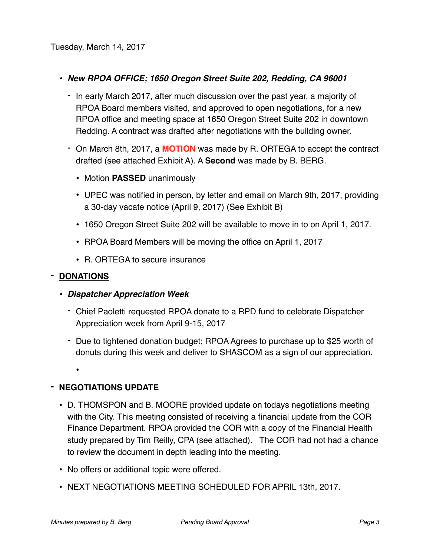# *• New RPOA OFFICE; 1650 Oregon Street Suite 202, Redding, CA 96001*

- In early March 2017, after much discussion over the past year, a majority of RPOA Board members visited, and approved to open negotiations, for a new RPOA office and meeting space at 1650 Oregon Street Suite 202 in downtown Redding. A contract was drafted after negotiations with the building owner.
- On March 8th, 2017, a **MOTION** was made by R. ORTEGA to accept the contract drafted (see attached Exhibit A). A **Second** was made by B. BERG.
	- Motion **PASSED** unanimously
	- UPEC was notified in person, by letter and email on March 9th, 2017, providing a 30-day vacate notice (April 9, 2017) (See Exhibit B)
	- 1650 Oregon Street Suite 202 will be available to move in to on April 1, 2017.
	- RPOA Board Members will be moving the office on April 1, 2017
	- R. ORTEGA to secure insurance

#### **- DONATIONS**

•

- *• Dispatcher Appreciation Week*
	- Chief Paoletti requested RPOA donate to a RPD fund to celebrate Dispatcher Appreciation week from April 9-15, 2017
	- Due to tightened donation budget; RPOA Agrees to purchase up to \$25 worth of donuts during this week and deliver to SHASCOM as a sign of our appreciation.

# **- NEGOTIATIONS UPDATE**

- D. THOMSPON and B. MOORE provided update on todays negotiations meeting with the City. This meeting consisted of receiving a financial update from the COR Finance Department. RPOA provided the COR with a copy of the Financial Health study prepared by Tim Reilly, CPA (see attached). The COR had not had a chance to review the document in depth leading into the meeting.
- No offers or additional topic were offered.
- NEXT NEGOTIATIONS MEETING SCHEDULED FOR APRIL 13th, 2017.